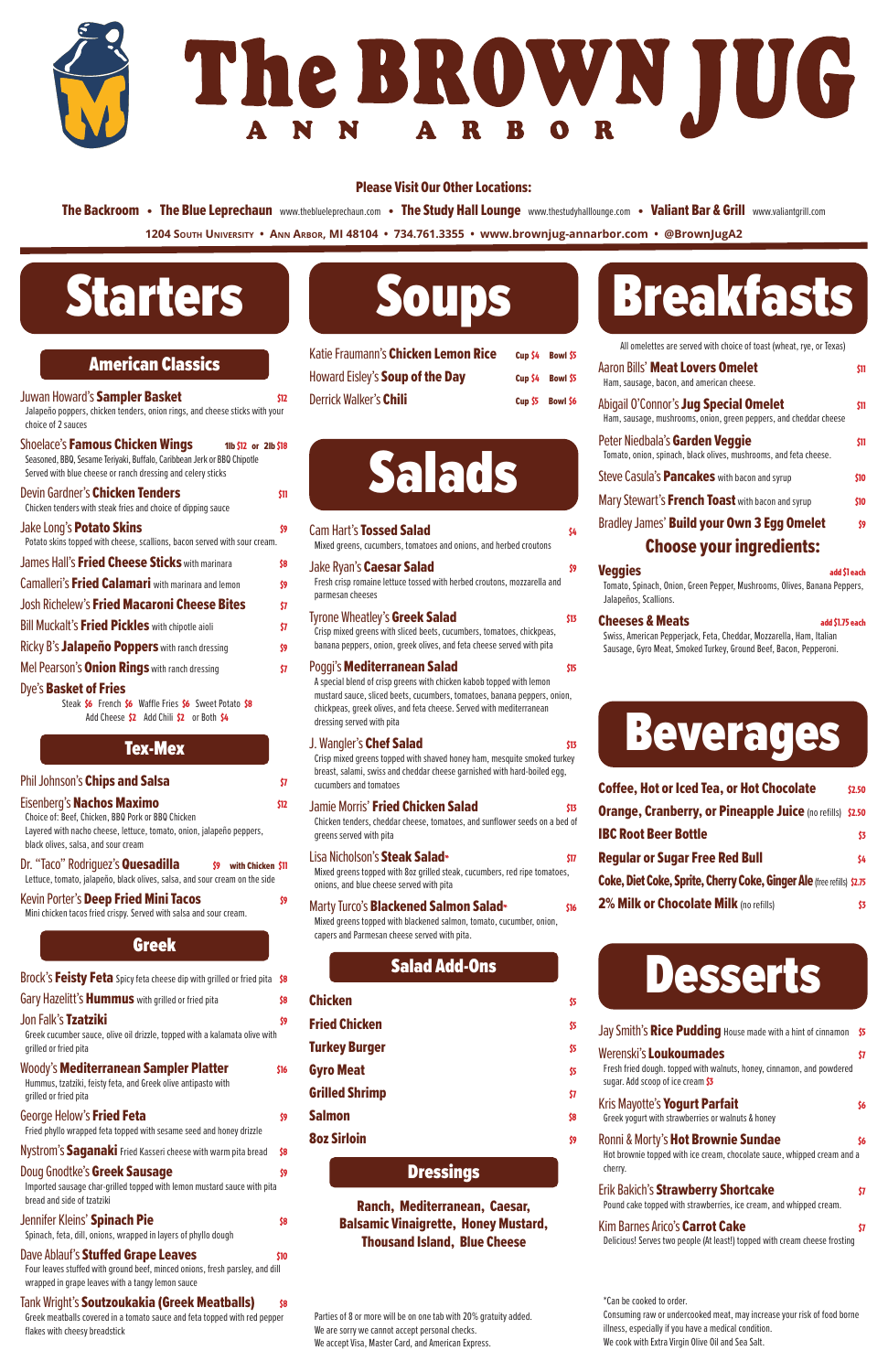# Starters

| <b>American Classics</b> |  |  |  |
|--------------------------|--|--|--|
|                          |  |  |  |

Juwan Howard's **Sampler Basket** \$12 Jalapeño poppers, chicken tenders, onion rings, and cheese sticks with your choice of 2 sauces

| Shoelace's Famous Chicken Wings<br>1lb \$12 or 2lb \$18<br>Seasoned, BBQ, Sesame Teriyaki, Buffalo, Caribbean Jerk or BBQ Chipotle<br>Served with blue cheese or ranch dressing and celery sticks |      |
|---------------------------------------------------------------------------------------------------------------------------------------------------------------------------------------------------|------|
| Devin Gardner's Chicken Tenders<br>Chicken tenders with steak fries and choice of dipping sauce                                                                                                   | \$11 |
| Jake Long's <b>Potato Skins</b><br>Potato skins topped with cheese, scallions, bacon served with sour cream.                                                                                      | Š9   |
| James Hall's <b>Fried Cheese Sticks</b> with marinara                                                                                                                                             | \$8  |
| Camalleri's <b>Fried Calamari</b> with marinara and lemon                                                                                                                                         | Š9   |
| Josh Richelew's Fried Macaroni Cheese Bites                                                                                                                                                       | \$7  |
| <b>Bill Muckalt's Fried Pickles</b> with chipotle aioli                                                                                                                                           | \$7  |
| Ricky B's <b>Jalapeño Poppers</b> with ranch dressing                                                                                                                                             | \$9  |
| Mel Pearson's <b>Onion Rings</b> with ranch dressing                                                                                                                                              | \$7  |
| <b>Dye's Basket of Fries</b>                                                                                                                                                                      |      |

Steak \$6 French \$6 Waffle Fries \$6 Sweet Potato \$8 Add Cheese \$2 Add Chili \$2 or Both \$4

| Phil Johnson's Chips and Salsa                                                                                                                                                                |      |
|-----------------------------------------------------------------------------------------------------------------------------------------------------------------------------------------------|------|
| Eisenberg's Nachos Maximo<br>Choice of: Beef, Chicken, BBQ Pork or BBQ Chicken<br>Layered with nacho cheese, lettuce, tomato, onion, jalapeño peppers,<br>black olives, salsa, and sour cream | \$12 |
| Dr. "Taco" Rodriguez's <b>Quesadilla</b><br>with Chicken \$11<br>\$9<br>Lettuce, tomato, jalapeño, black olives, salsa, and sour cream on the side                                            |      |
| Kevin Porter's Deep Fried Mini Tacos<br>Mini chicken tacos fried crispy. Served with salsa and sour cream.                                                                                    | S9   |
| <b>Greek</b>                                                                                                                                                                                  |      |

#### Tex-Mex

#### Jon Falk's Tzatziki \$9

Greek cucumber sauce, olive oil drizzle, topped with a kalamata olive with grilled or fried pita

Brock's Feisty Feta Spicy feta cheese dip with grilled or fried pita \$8 Gary Hazelitt's **Hummus** with grilled or fried pita

#### Woody's **Mediterranean Sampler Platter** \$16

Hummus, tzatziki, feisty feta, and Greek olive antipasto with grilled or fried pita

#### George Helow's **Fried Feta**  $\frac{1}{3}$

Fried phyllo wrapped feta topped with sesame seed and honey drizzle

Nystrom's Saganaki Fried Kasseri cheese with warm pita bread \$8

#### Doug Gnodtke's Greek Sausage  $\mathfrak{so}$

Imported sausage char-grilled topped with lemon mustard sauce with pita bread and side of tzatziki

#### Jennifer Kleins' **Spinach Pie Brown and Separate Separate Separate Separate Separate Separate Separate Separate Separate Separate Separate Separate Separate Separate Separate Separate Separate Separate Separate Separate**

All omelettes are served with choice of toast (wheat, rye, or Texas) Aaron Bills' **Meat Lovers Omelet** \$11

Spinach, feta, dill, onions, wrapped in layers of phyllo dough

#### Dave Ablauf's **Stuffed Grape Leaves Black** 510

#### Ham, sausage, bacon, and american cheese. Abigail O'Connor's **Jug Special Omelet**  $\mathfrak{m}$ Ham, sausage, mushrooms, onion, green peppers, and cheddar cheese Peter Niedbala's Garden Veggie **120 au 130 a**ssetting

Four leaves stuffed with ground beef, minced onions, fresh parsley, and dill wrapped in grape leaves with a tangy lemon sauce

#### Tank Wright's **Soutzoukakia (Greek Meatballs)** \$8

Tomato, onion, spinach, black olives, mushrooms, and feta cheese. Steve Casula's **Pancakes** with bacon and syrup \$10 Mary Stewart's **French Toast** with bacon and syrup \$10 Bradley James' Build your Own 3 Egg Omelet \$9

Greek meatballs covered in a tomato sauce and feta topped with red pepper flakes with cheesy breadstick

#### **Fried Chicken \$5 55 AM SERVICE REPORTS**

#### **Turkey Burger \$5 and \$5 and \$5 and \$5 and \$5 and \$5 and \$5 and \$5 and \$5 and \$5 and \$5 and \$5 and \$5 and \$5 and \$5 and \$5 and \$5 and \$5 and \$5 and \$5 and \$5 and \$5 and \$5 and \$5 and \$5 and \$5 and \$5 and \$5 and \$5 and \$5 a**

Gyro Meat **55** Grilled Shrimp  $\frac{57}{37}$ 

Salmon 58

Fresh fried dough. topped with walnuts, honey, cinnamon, and powdered sugar. Add scoop of ice cream \$3

### Kris Mayotte's **Yogurt Parfait Example 2018** S6

| Soups |
|-------|
|-------|

| Katie Fraumann's Chicken Lemon Rice |             | Cup \$4 Bowl \$5 |
|-------------------------------------|-------------|------------------|
| Howard Eisley's Soup of the Day     |             | Cup \$4 Bowl \$5 |
| <b>Derrick Walker's Chili</b>       | $C$ up $$5$ | <b>Bowl \$6</b>  |



#### Ronni & Morty's **Hot Brownie Sundae** \$6 Hot brownie topped with ice cream, chocolate sauce, whipped cream and a cherry.

#### Erik Bakich's **Strawberry Shortcake**  $\boldsymbol{\mathsf{57}}$

| <b>Cam Hart's Tossed Salad</b><br>\$4.<br>Mixed greens, cucumbers, tomatoes and onions, and herbed croutons                                                                                                                                                                                                                                            |
|--------------------------------------------------------------------------------------------------------------------------------------------------------------------------------------------------------------------------------------------------------------------------------------------------------------------------------------------------------|
| Jake Ryan's Caesar Salad<br>\$9<br>Fresh crisp romaine lettuce tossed with herbed croutons, mozzarella and<br>parmesan cheeses                                                                                                                                                                                                                         |
| Tyrone Wheatley's Greek Salad<br>\$13<br>Crisp mixed greens with sliced beets, cucumbers, tomatoes, chickpeas,<br>banana peppers, onion, greek olives, and feta cheese served with pita                                                                                                                                                                |
| Poqqi's <b>Mediterranean Salad</b><br>\$15<br>A special blend of crisp greens with chicken kabob topped with lemon<br>mustard sauce, sliced beets, cucumbers, tomatoes, banana peppers, onion,<br>chickpeas, greek olives, and feta cheese. Served with mediterranean<br>dressing served with pita                                                     |
| J. Wangler's Chef Salad<br>\$13<br>Crisp mixed greens topped with shaved honey ham, mesquite smoked turkey<br>breast, salami, swiss and cheddar cheese garnished with hard-boiled egg,<br>cucumbers and tomatoes                                                                                                                                       |
| <b>Jamie Morris' Fried Chicken Salad</b><br>\$13<br>Chicken tenders, cheddar cheese, tomatoes, and sunflower seeds on a bed of<br>greens served with pita                                                                                                                                                                                              |
| Lisa Nicholson's Steak Salad*<br>\$17<br>Mixed greens topped with 8oz grilled steak, cucumbers, red ripe tomatoes,<br>$\cdots$ . The contract of the contract of the contract of the contract of the contract of the contract of the contract of the contract of the contract of the contract of the contract of the contract of the contract of the c |

### onions, and blue cheese served with pita

#### Marty Turco's **Blackened Salmon Salad**\* **\$16**

Mixed greens topped with blackened salmon, tomato, cucumber, onion, capers and Parmesan cheese served with pita.

### Salad Add-Ons

#### Chicken  $\frac{5}{5}$

#### 8oz Sirloin \$9

**Dressings** 

Ranch, Mediterranean, Caesar, Balsamic Vinaigrette, Honey Mustard, Thousand Island, Blue Cheese

Breakfasts

**1204 South University • Ann Arbor, MI 48104 • 734.761.3355 • www.brownjug-annarbor.com • @BrownJugA2** The Backroom • The Blue Leprechaun www.theblueleprechaun.com • The Study Hall Lounge www.thestudyhalllounge.com • Valiant Bar & Grill www.valiantgrill.com

#### Choose your ingredients:

#### **Veggies** and  $\overline{\phantom{a}}$  and  $\overline{\phantom{a}}$  and  $\overline{\phantom{a}}$  and  $\overline{\phantom{a}}$  and  $\overline{\phantom{a}}$  and  $\overline{\phantom{a}}$  and  $\overline{\phantom{a}}$  and  $\overline{\phantom{a}}$  and  $\overline{\phantom{a}}$  and  $\overline{\phantom{a}}$  and  $\overline{\phantom{a}}$  and  $\overline{\phantom{a}}$  and  $\overline{\phantom{a}}$  and

Tomato, Spinach, Onion, Green Pepper, Mushrooms, Olives, Banana Peppers, Jalapeños, Scallions.

#### Cheeses & Meats and \$1.75 each

Swiss, American Pepperjack, Feta, Cheddar, Mozzarella, Ham, Italian Sausage, Gyro Meat, Smoked Turkey, Ground Beef, Bacon, Pepperoni.

#### Greek yogurt with strawberries or walnuts & honey

Pound cake topped with strawberries, ice cream, and whipped cream.

#### Kim Barnes Arico's **Carrot Cake**  $\boldsymbol{\mathsf{s}}$

Delicious! Serves two people (At least!) topped with cream cheese frosting

## Beverages

| <b>Coffee, Hot or Iced Tea, or Hot Chocolate</b>                       | \$2.50 |  |
|------------------------------------------------------------------------|--------|--|
| <b>Orange, Cranberry, or Pineapple Juice (no refills) \$2.50</b>       |        |  |
| <b>IBC Root Beer Bottle</b>                                            | \$3    |  |
| <b>Regular or Sugar Free Red Bull</b>                                  | \$4    |  |
| Coke, Diet Coke, Sprite, Cherry Coke, Ginger Ale (free refills) \$2.75 |        |  |
| 2% Milk or Chocolate Milk (no refills)                                 | S3     |  |

### **Desserts**

#### \*Can be cooked to order.

Consuming raw or undercooked meat, may increase your risk of food borne illness, especially if you have a medical condition. We cook with Extra Virgin Olive Oil and Sea Salt.

Parties of 8 or more will be on one tab with 20% gratuity added. We are sorry we cannot accept personal checks. We accept Visa, Master Card, and American Express.

#### Jay Smith's Rice Pudding House made with a hint of cinnamon \$5 Werenski's **Loukoumades**  $\boldsymbol{\mathsf{s}}$



#### Please Visit Our Other Locations: